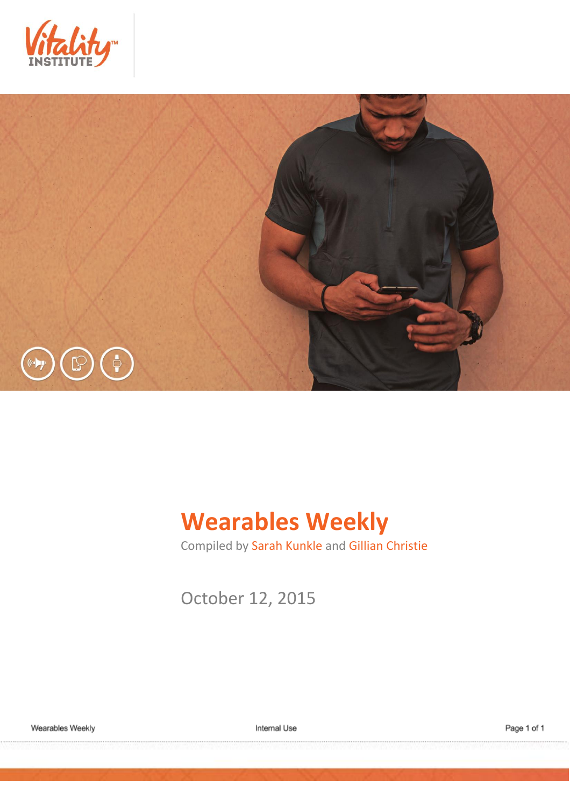



# **Wearables Weekly**

Compiled by Sarah Kunkle and Gillian Christie

October 12, 2015

Internal Use

Page 1 of 1